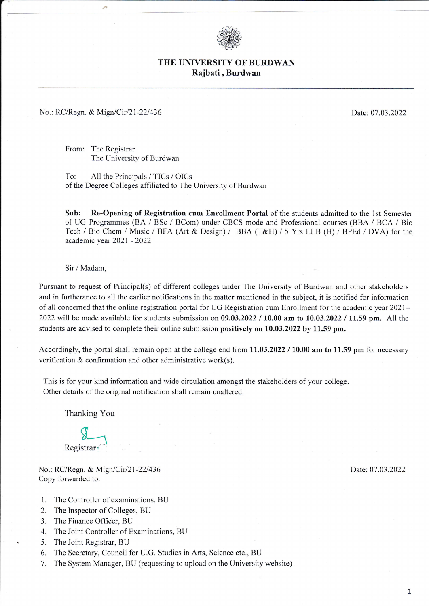

## THE UNIVERSITY OF BURDWAN Rajbati, Burdwan

## No.: RC/Regn. & Mign/Cir/21-22/436

Date: 07.03.2022

From: The Registrar The University of Burdwan

To: All the Principals / TICs / OICs of the Degree Colleges affiliated to The University of Burdwan

Sub: Re-Opening of Registration cum Enrollment Portal of the students admitted to the 1st Semester of UG Programmes (BA / BSc / BCom) under CBCS mode and Professional courses (BBA / BCA / Bio Tech / Bio Chem / Music / BFA (Art & Design) / BBA (T&H) / 5 Yrs LLB (H) / BPEd / DVA) for the academic year 2021 - 2022

Sir / Madam,

Pursuant to request of Principal(s) of different colleges under The University of Burdwan and other stakeholders and in furtherance to all the earlier notifications in the matter mentioned in the subject, it is notified for information of all concerned that the online registration portal for UG Registration cum Enrollment for the academic year 2021– 2022 will be made available for students submission on  $09.03.2022 / 10.00$  am to  $10.03.2022 / 11.59$  pm. All the students are advised to complete their online submission positively on 10.03.2022 by 11.59 pm.

Accordingly, the portal shall remain open at the college end from 11.03.2022 / 10.00 am to 11.59 pm for necessary verification & confirmation and other administrative work(s).

This is for your kind information and wide circulation amongst the stakeholders of your college. Other details of the original notification shall remain unaltered.

Thanking You

Registrar<sup>®</sup>

No.: RC/Regn. & Mign/Cir/21-22/436 Copy forwarded to:

- 1. The Controller of examinations, BU
- 2. The Inspector of Colleges, BU
- 3. The Finance Officer, BU
- 4. The Joint Controller of Examinations, BU
- 5. The Joint Registrar, BU
- 6. The Secretary, Council for U.G. Studies in Arts, Science etc., BU
- 7. The System Manager, BU (requesting to upload on the University website)

Date: 07.03.2022